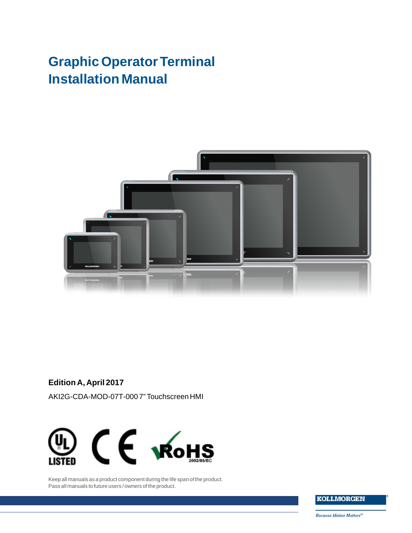# **Graphic Operator Terminal Installation Manual**



**Edition A, April 2017**

AKI2G-CDA-MOD-07T-000 7" Touchscreen HMI



Keep all manuals as a product component during the life span of the product. Pass all manuals to future users / owners of the product.

**KOLLMORGEN** 

**Because Motion Matters™**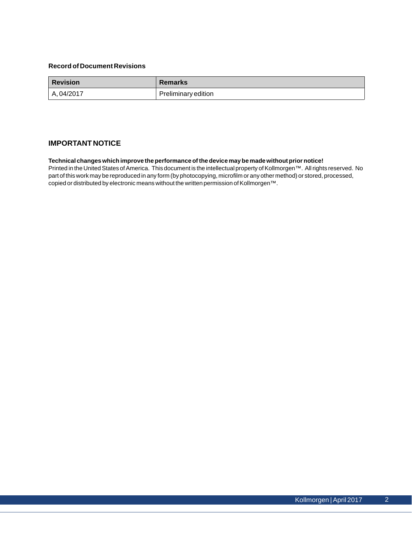### **Record of Document Revisions**

| <b>Revision</b> | <b>Remarks</b>      |
|-----------------|---------------------|
| A, 04/2017      | Preliminary edition |

### **IMPORTANT NOTICE**

#### **Technical changes which improve the performance of the device may be made without prior notice!**

Printed in the United States of America. This document is the intellectual property of Kollmorgen™. All rights reserved. No part of this work may be reproduced in any form (by photocopying, microfilm or any other method) or stored, processed, copied or distributed by electronic means without the written permission of Kollmorgen™.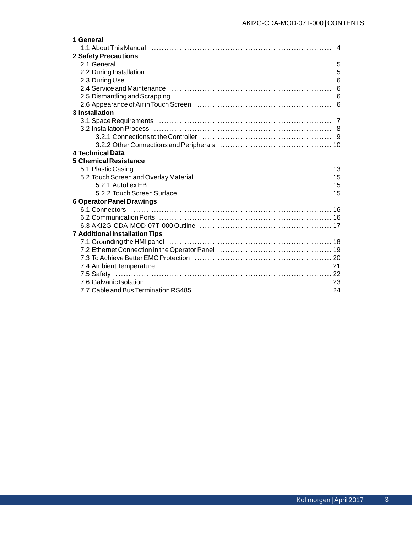| 1 General                                                                                                      |                |
|----------------------------------------------------------------------------------------------------------------|----------------|
|                                                                                                                | $\overline{4}$ |
| <b>2 Safety Precautions</b>                                                                                    |                |
|                                                                                                                |                |
|                                                                                                                |                |
|                                                                                                                |                |
|                                                                                                                |                |
|                                                                                                                |                |
|                                                                                                                |                |
| <b>3</b> Installation                                                                                          |                |
|                                                                                                                |                |
|                                                                                                                |                |
|                                                                                                                |                |
|                                                                                                                |                |
| 4 Technical Data                                                                                               |                |
| <b>5 Chemical Resistance</b>                                                                                   |                |
|                                                                                                                |                |
|                                                                                                                |                |
|                                                                                                                |                |
| 5.2.2 Touch Screen Surface (and the content of the state of the state of the state of the state of the state o |                |
| <b>6 Operator Panel Drawings</b>                                                                               |                |
|                                                                                                                |                |
|                                                                                                                |                |
|                                                                                                                |                |
| <b>7 Additional Installation Tips</b>                                                                          |                |
|                                                                                                                |                |
|                                                                                                                |                |
|                                                                                                                |                |
|                                                                                                                |                |
|                                                                                                                |                |
| 7.6 Galvanic Isolation (a) material control of the control of the control of the control of the control of the |                |
|                                                                                                                |                |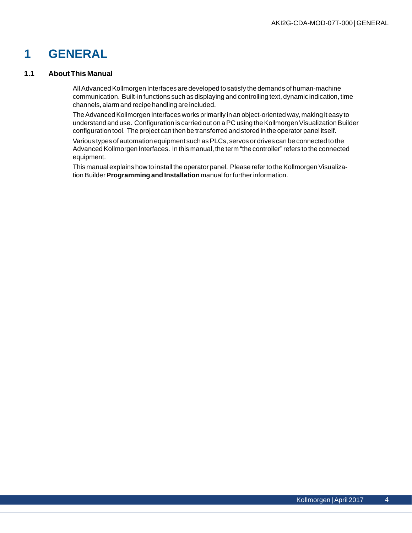# <span id="page-3-0"></span>**1 GENERAL**

### **1.1 About This Manual**

All Advanced Kollmorgen Interfaces are developed to satisfy the demands of human-machine communication. Built-in functions such as displaying and controlling text, dynamic indication, time channels, alarm and recipe handling are included.

The Advanced Kollmorgen Interfaces works primarily in an object-oriented way, making it easy to understand and use. Configuration is carried out on a PC using the Kollmorgen Visualization Builder configuration tool. The project can then be transferred and stored in the operator panel itself.

Various types of automation equipment such as PLCs, servos or drives can be connected to the Advanced Kollmorgen Interfaces. In this manual, the term "the controller" refers to the connected equipment.

This manual explains how to install the operator panel. Please refer to the Kollmorgen Visualization Builder**Programming and Installation** manual for further information.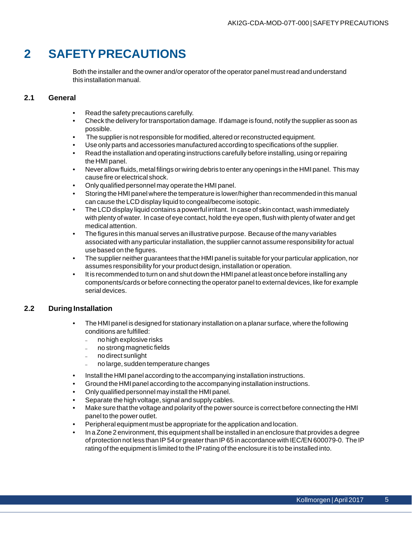# <span id="page-4-0"></span>**2 SAFETY PRECAUTIONS**

Both the installer and the owner and/or operator of the operator panel must read and understand this installation manual.

### **2.1 General**

- Read the safety precautions carefully.
- Check the delivery for transportation damage. If damage is found, notify the supplier as soon as possible.
- The supplier is not responsible for modified, altered or reconstructed equipment.
- Use only parts and accessories manufactured according to specifications of the supplier.
- Read the installation and operating instructions carefully before installing, using or repairing the HMI panel.
- Never allow fluids, metal filings or wiring debris to enter any openings in the HMI panel. This may cause fire or electrical shock.
- Only qualified personnel may operate the HMI panel.
- Storing the HMI panel where the temperature is lower/higher than recommended in this manual can cause the LCD display liquid to congeal/become isotopic.
- The LCD display liquid contains a powerful irritant. In case of skin contact, wash immediately with plenty of water. In case of eye contact, hold the eye open, flush with plenty of water and get medical attention.
- The figures in this manual serves an illustrative purpose. Because of the many variables associated with any particular installation, the supplier cannot assume responsibility for actual use based on the figures.
- The supplier neither guarantees that the HMI panel is suitable for your particular application, nor assumes responsibility for your product design, installation or operation.
- It is recommended to turn on and shut down the HMI panel at least once before installing any components/cards or before connecting the operator panel to external devices, like for example serial devices.

## **2.2 During Installation**

- The HMI panel is designed for stationary installation on a planar surface, where the following conditions are fulfilled:
	- no high explosive risks
	- no strong magnetic fields
	- no direct sunlight
	- no large, sudden temperature changes
- Install the HMI panel according to the accompanying installation instructions.
- Ground the HMI panel according to the accompanying installation instructions.
- Only qualified personnel may install the HMI panel.
- Separate the high voltage, signal and supply cables.
- Make sure that the voltage and polarity of the power source is correct before connecting the HMI panel to the power outlet.
- Peripheral equipment must be appropriate for the application and location.
- In a Zone 2 environment, this equipment shall be installed in an enclosure that provides a degree of protection not less than IP 54 or greater than IP 65 in accordance with IEC/EN 600079-0. The IP rating of the equipment is limited to the IP rating of the enclosure it is to be installed into.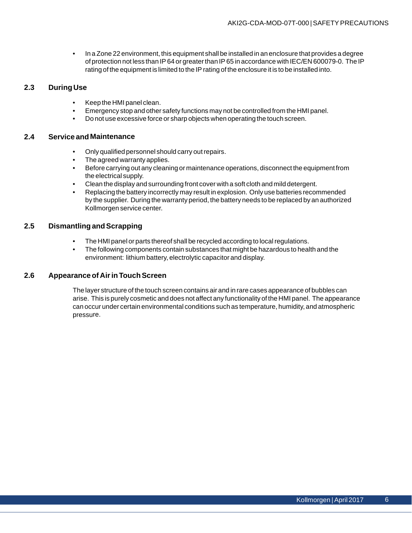• In a Zone 22 environment, this equipment shall be installed in an enclosure that provides a degree of protection not less than IP 64 or greater than IP 65 in accordance with IEC/EN 600079-0. The IP rating of the equipment is limited to the IP rating of the enclosure it is to be installed into.

### <span id="page-5-0"></span>**2.3 During Use**

- Keep the HMI panel clean.
- Emergency stop and other safety functions may not be controlled from the HMI panel.
- Do not use excessive force or sharp objects when operating the touch screen.

### **2.4 Service and Maintenance**

- Only qualified personnel should carry out repairs.
- The agreed warranty applies.
- Before carrying out any cleaning or maintenance operations, disconnect the equipment from the electrical supply.
- Clean the display and surrounding front cover with a soft cloth and mild detergent.
- Replacing the battery incorrectly may result in explosion. Only use batteries recommended by the supplier. During the warranty period, the battery needs to be replaced by an authorized Kollmorgen service center.

### **2.5 Dismantling and Scrapping**

- The HMI panel or parts thereof shall be recycled according to local regulations.
- The following components contain substances that might be hazardous to health and the environment: lithium battery, electrolytic capacitor and display.

### **2.6 Appearance of Air in Touch Screen**

The layer structure of the touch screen contains air and in rare cases appearance of bubbles can arise. This is purely cosmetic and does not affect any functionality of the HMI panel. The appearance can occur under certain environmental conditions such as temperature, humidity, and atmospheric pressure.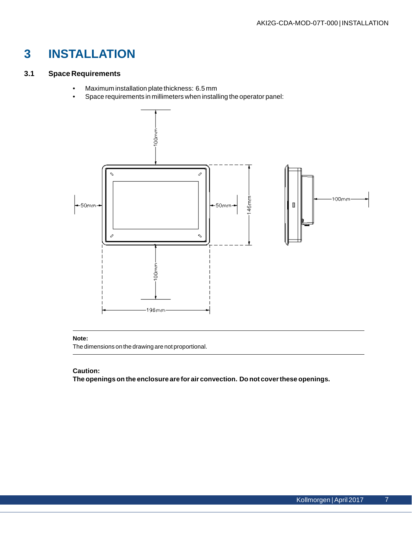# <span id="page-6-0"></span>**3 INSTALLATION**

# **3.1 Space Requirements**

- Maximum installation plate thickness: 6.5 mm
- Space requirements in millimeters when installing the operator panel:



### **Note:**

The dimensions on the drawing are not proportional.

### **Caution:**

**The openings on the enclosure are for air convection. Do not cover these openings.**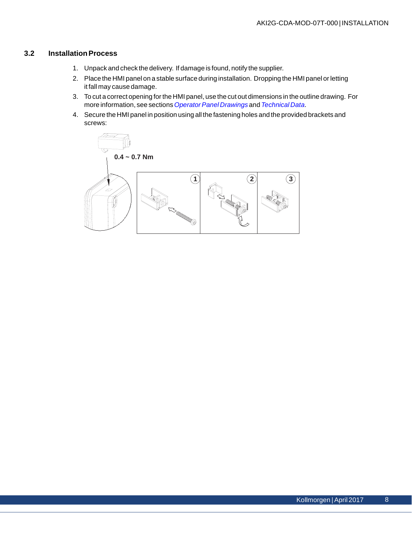# <span id="page-7-0"></span>**3.2 Installation Process**

- 1. Unpack and check the delivery. If damage is found, notify the supplier.
- 2. Place the HMI panel on a stable surface during installation. Dropping the HMI panel or letting it fall may cause damage.
- 3. To cut a correct opening for the HMI panel, use the cut out dimensions in the outline drawing. For more information, see sections*[Operator Panel Drawings](#page-15-0)* and *[Technical Data](#page-10-0)*.
- 4. Secure the HMI panel in position using all the fastening holes and the provided brackets and screws:

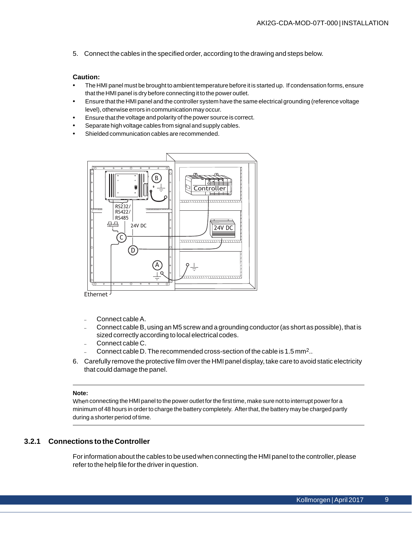<span id="page-8-0"></span>5. Connect the cables in the specified order, according to the drawing and steps below.

### **Caution:**

- The HMI panel must be brought to ambient temperature before it is started up. If condensation forms, ensure that the HMI panel is dry before connecting it to the power outlet.
- Ensure that the HMI panel and the controller system have the same electrical grounding (reference voltage level), otherwise errors in communication may occur.
- Ensure that the voltage and polarity of the power source is correct.
- Separate high voltage cables from signal and supply cables.
- Shielded communication cables are recommended.



Ethernet -

- Connect cable A.
- Connect cable B, using an M5 screw and a grounding conductor (as short as possible), that is sized correctly according to local electrical codes.
- Connect cable C.
- Connect cable D. The recommended cross-section of the cable is 1.5 mm2..
- 6. Carefully remove the protective film over the HMI panel display, take care to avoid static electricity that could damage the panel.

#### **Note:**

When connecting the HMI panel to the power outlet for the first time, make sure not to interrupt power for a minimum of 48 hours in order to charge the battery completely. After that, the battery may be charged partly during a shorter period of time.

### **3.2.1 Connections to the Controller**

For information about the cables to be used when connecting the HMI panel to the controller, please refer to the help file for the driver in question.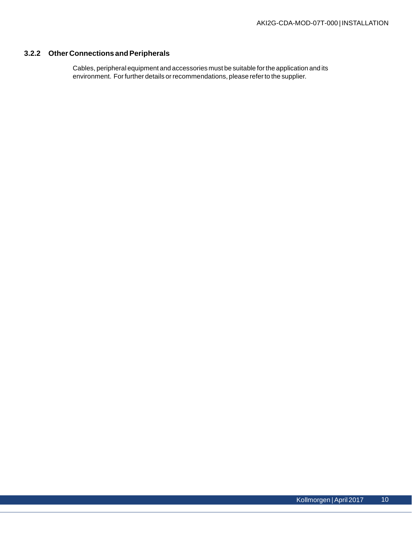# <span id="page-9-0"></span>**3.2.2 Other Connections and Peripherals**

Cables, peripheral equipment and accessories must be suitable for the application and its environment. For further details or recommendations, please refer to the supplier.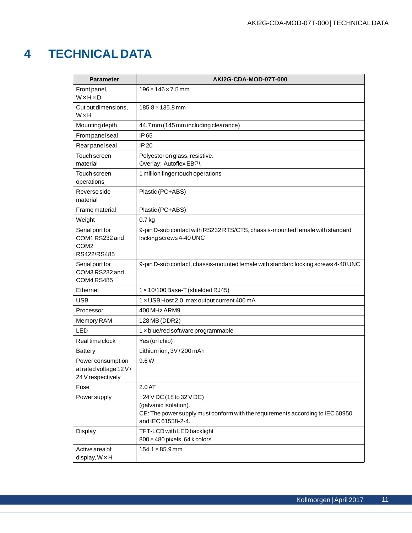# <span id="page-10-0"></span>**4 TECHNICAL DATA**

| <b>Parameter</b>                                                     | AKI2G-CDA-MOD-07T-000                                                                                                                                     |
|----------------------------------------------------------------------|-----------------------------------------------------------------------------------------------------------------------------------------------------------|
| Front panel,<br>WxHxD                                                | $196 \times 146 \times 7.5$ mm                                                                                                                            |
| Cut out dimensions,<br>WxH                                           | $185.8 \times 135.8 \text{ mm}$                                                                                                                           |
| Mounting depth                                                       | 44.7 mm (145 mm including clearance)                                                                                                                      |
| Front panel seal                                                     | IP 65                                                                                                                                                     |
| Rear panel seal                                                      | IP 20                                                                                                                                                     |
| Touch screen<br>material                                             | Polyester on glass, resistive.<br>Overlay: Autoflex EB(1).                                                                                                |
| Touch screen<br>operations                                           | 1 million finger touch operations                                                                                                                         |
| Reverse side<br>material                                             | Plastic (PC+ABS)                                                                                                                                          |
| Frame material                                                       | Plastic (PC+ABS)                                                                                                                                          |
| Weight                                                               | $0.7$ kg                                                                                                                                                  |
| Serial port for<br>COM1 RS232 and<br>COM <sub>2</sub><br>RS422/RS485 | 9-pin D-sub contact with RS232 RTS/CTS, chassis-mounted female with standard<br>locking screws 4-40 UNC                                                   |
| Serial port for<br>COM3RS232 and<br>COM4RS485                        | 9-pin D-sub contact, chassis-mounted female with standard locking screws 4-40 UNC                                                                         |
| Ethernet                                                             | 1 x 10/100 Base-T (shielded RJ45)                                                                                                                         |
| <b>USB</b>                                                           | 1 x USB Host 2.0, max output current 400 mA                                                                                                               |
| Processor                                                            | 400 MHz ARM9                                                                                                                                              |
| Memory RAM                                                           | 128 MB (DDR2)                                                                                                                                             |
| LED                                                                  | 1 x blue/red software programmable                                                                                                                        |
| Real time clock                                                      | Yes (on chip)                                                                                                                                             |
| <b>Battery</b>                                                       | Lithium ion, 3V / 200 mAh                                                                                                                                 |
| Power consumption<br>at rated voltage 12 V/<br>24 V respectively     | 9.6W                                                                                                                                                      |
| Fuse                                                                 | 2.0AT                                                                                                                                                     |
| <b>Power supply</b>                                                  | +24 V DC (18 to 32 V DC)<br>(galvanic isolation).<br>CE: The power supply must conform with the requirements according to IEC 60950<br>and IEC 61558-2-4. |
| Display                                                              | TFT-LCD with LED backlight<br>800 x 480 pixels, 64 k colors                                                                                               |
| Active area of<br>display, $W \times H$                              | $154.1 \times 85.9$ mm                                                                                                                                    |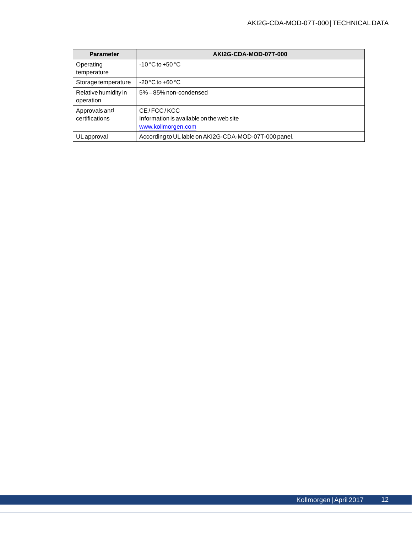| <b>Parameter</b>     | AKI2G-CDA-MOD-07T-000                                 |  |  |
|----------------------|-------------------------------------------------------|--|--|
| Operating            | $-10\degree$ C to $+50\degree$ C                      |  |  |
| temperature          |                                                       |  |  |
| Storage temperature  | $-20^{\circ}$ C to $+60^{\circ}$ C                    |  |  |
| Relative humidity in | 5% - 85% non-condensed                                |  |  |
| operation            |                                                       |  |  |
| Approvals and        | CE/FCC/KCC                                            |  |  |
| certifications       | Information is available on the web site              |  |  |
|                      | www.kollmorgen.com                                    |  |  |
| ULapproval           | According to UL lable on AKI2G-CDA-MOD-07T-000 panel. |  |  |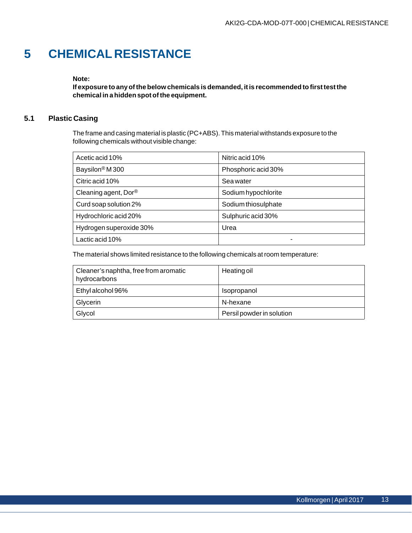# <span id="page-12-0"></span>**5 CHEMICAL RESISTANCE**

### **Note:**

**If exposure to any of the below chemicals is demanded, it is recommended to first test the chemical in a hidden spot of the equipment.**

# **5.1 Plastic Casing**

The frame and casing material is plastic (PC+ABS). This material withstands exposure to the following chemicals without visible change:

| Acetic acid 10%                   | Nitric acid 10%     |
|-----------------------------------|---------------------|
| Baysilon <sup>®</sup> M 300       | Phosphoric acid 30% |
| Citric acid 10%                   | Sea water           |
| Cleaning agent, $Dor^{\circledR}$ | Sodium hypochlorite |
| Curd soap solution 2%             | Sodium thiosulphate |
| Hydrochloric acid 20%             | Sulphuric acid 30%  |
| Hydrogen superoxide 30%           | Urea                |
| Lactic acid 10%                   |                     |

The material shows limited resistance to the following chemicals at room temperature:

| Cleaner's naphtha, free from aromatic<br>hydrocarbons | Heating oil               |
|-------------------------------------------------------|---------------------------|
| Ethyl alcohol 96%                                     | Isopropanol               |
| Glycerin                                              | N-hexane                  |
| Glycol                                                | Persil powder in solution |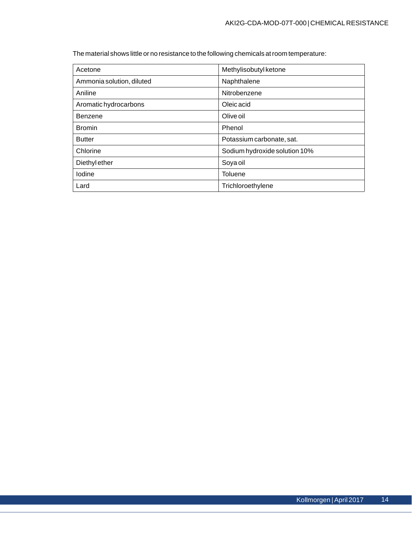The material shows little or no resistance to the following chemicals at room temperature:

| Acetone                   | Methylisobutyl ketone         |
|---------------------------|-------------------------------|
| Ammonia solution, diluted | Naphthalene                   |
| Aniline                   | Nitrobenzene                  |
| Aromatic hydrocarbons     | Oleic acid                    |
| Benzene                   | Olive oil                     |
| <b>Bromin</b>             | Phenol                        |
| <b>Butter</b>             | Potassium carbonate, sat.     |
| Chlorine                  | Sodium hydroxide solution 10% |
| Diethyl ether             | Soya oil                      |
| Iodine                    | <b>Toluene</b>                |
| Lard                      | Trichloroethylene             |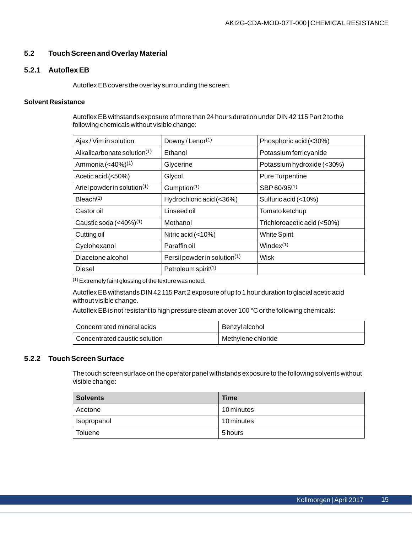## <span id="page-14-0"></span>**5.2 Touch Screen and Overlay Material**

### **5.2.1 Autoflex EB**

Autoflex EB covers the overlay surrounding the screen.

### **Solvent Resistance**

Autoflex EB withstands exposure of more than 24 hours duration under DIN 42 115 Part 2 to the following chemicals without visible change:

| Ajax/Vim in solution                    | Downy/Lenor <sup>(1)</sup>      | Phosphoric acid (<30%)      |
|-----------------------------------------|---------------------------------|-----------------------------|
| Alkalicarbonate solution <sup>(1)</sup> | Ethanol                         | Potassium ferricyanide      |
| Ammonia (<40%) <sup>(1)</sup>           | Glycerine                       | Potassium hydroxide (<30%)  |
| Acetic acid (<50%)                      | Glycol                          | <b>Pure Turpentine</b>      |
| Ariel powder in solution(1)             | Gumption <sup>(1)</sup>         | SBP 60/95 <sup>(1)</sup>    |
| Bleach(1)                               | Hydrochloric acid (<36%)        | Sulfuric acid (<10%)        |
| Castoroil                               | Linseed oil                     | Tomato ketchup              |
| Caustic soda $(40\%)^{(1)}$             | Methanol                        | Trichloroacetic acid (<50%) |
| Cutting oil                             | Nitric acid $(<10\%)$           | <b>White Spirit</b>         |
| Cyclohexanol                            | Paraffin oil                    | Window(1)                   |
| Diacetone alcohol                       | Persil powder in solution(1)    | Wisk                        |
| Diesel                                  | Petroleum spirit <sup>(1)</sup> |                             |

(1)Extremely faint glossing of the texture was noted.

Autoflex EB withstands DIN 42 115 Part 2 exposure of up to 1 hour duration to glacial acetic acid without visible change.

Autoflex EB is not resistant to high pressure steam at over 100 °C or the following chemicals:

| Concentrated mineral acids    | Benzyl alcohol     |
|-------------------------------|--------------------|
| Concentrated caustic solution | Methylene chloride |

## **5.2.2 Touch Screen Surface**

The touch screen surface on the operator panel withstands exposure to the following solvents without visible change:

| <b>Solvents</b> | <b>Time</b> |
|-----------------|-------------|
| Acetone         | 10 minutes  |
| Isopropanol     | 10 minutes  |
| <b>Toluene</b>  | 5 hours     |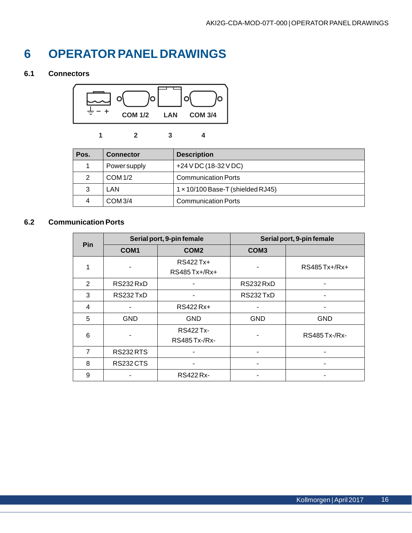# <span id="page-15-0"></span>**6 OPERATOR PANEL DRAWINGS**

# **6.1 Connectors**



**1 2 34**

| Pos. | <b>Connector</b> | <b>Description</b>                       |
|------|------------------|------------------------------------------|
|      | Power supply     | +24 V DC (18-32 V DC)                    |
| 2    | <b>COM 1/2</b>   | <b>Communication Ports</b>               |
| 3    | LAN              | $1 \times 10/100$ Base-T (shielded RJ45) |
| 4    | COM 3/4          | <b>Communication Ports</b>               |

# **6.2 Communication Ports**

| <b>Pin</b> | Serial port, 9-pin female |                                          | Serial port, 9-pin female |                      |
|------------|---------------------------|------------------------------------------|---------------------------|----------------------|
|            | COM <sub>1</sub>          | COM <sub>2</sub>                         | COM <sub>3</sub>          |                      |
|            |                           | RS422 Tx+<br>RS485 Tx+/Rx+               |                           | RS485 Tx+/Rx+        |
| 2          | RS232 RxD                 |                                          | RS232 RxD                 |                      |
| 3          | RS232 TxD                 |                                          | RS232TxD                  |                      |
| 4          |                           | RS422 Rx+                                |                           |                      |
| 5          | <b>GND</b>                | <b>GND</b>                               | <b>GND</b>                | <b>GND</b>           |
| 6          |                           | <b>RS422 Tx-</b><br><b>RS485 Tx-/Rx-</b> |                           | <b>RS485 Tx-/Rx-</b> |
| 7          | <b>RS232 RTS</b>          |                                          |                           |                      |
| 8          | <b>RS232CTS</b>           |                                          |                           |                      |
| 9          |                           | <b>RS422 Rx-</b>                         |                           |                      |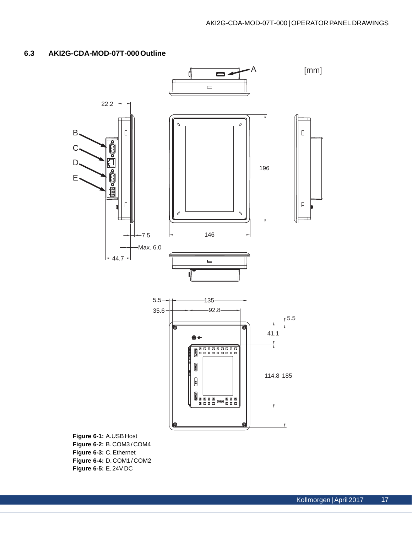# <span id="page-16-0"></span>**6.3 AKI2G-CDA-MOD-07T-000 Outline**



**Figure 6-2:** B. COM3 / COM4 **Figure 6-3:** C. Ethernet **Figure 6-4:** D. COM1 / COM2 **Figure 6-5:** E. 24V DC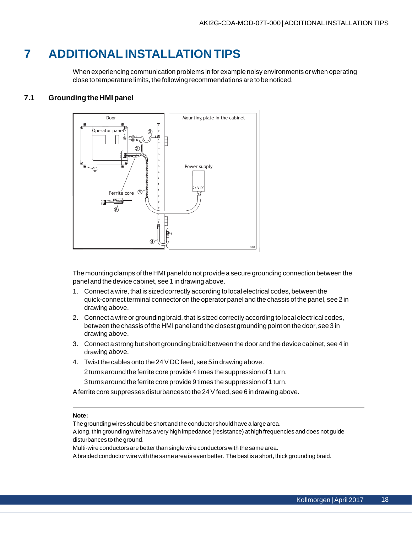# <span id="page-17-0"></span>**7 ADDITIONAL INSTALLATION TIPS**

When experiencing communication problems in for example noisy environments or when operating close to temperature limits, the following recommendations are to be noticed.

# **7.1 Grounding the HMI panel**



The mounting clamps of the HMI panel do not provide a secure grounding connection between the panel and the device cabinet, see 1 in drawing above.

- 1. Connect a wire, that is sized correctly according to local electrical codes, between the quick-connect terminal connector on the operator panel and the chassis of the panel, see 2 in drawing above.
- 2. Connect a wire or grounding braid, that is sized correctly according to local electrical codes, between the chassis of the HMI panel and the closest grounding point on the door, see 3 in drawing above.
- 3. Connect a strong but short grounding braid between the door and the device cabinet, see 4 in drawing above.
- 4. Twist the cables onto the 24 V DC feed, see 5 in drawing above.

2 turns around the ferrite core provide 4 times the suppression of 1 turn.

3 turns around the ferrite core provide 9 times the suppression of 1 turn.

A ferrite core suppresses disturbances to the 24 V feed, see 6 in drawing above.

#### **Note:**

The grounding wires should be short and the conductor should have a large area.

A long, thin grounding wire has a very high impedance (resistance) at high frequencies and does not guide disturbances to the ground.

Multi-wire conductors are better than single wire conductors with the same area.

A braided conductor wire with the same area is even better. The best is a short, thick grounding braid.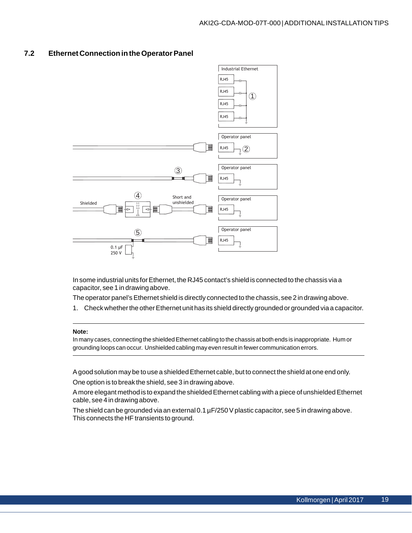## <span id="page-18-0"></span>**7.2 Ethernet Connection in the Operator Panel**



In some industrial units for Ethernet, the RJ45 contact's shield is connected to the chassis via a capacitor, see 1 in drawing above.

The operator panel's Ethernet shield is directly connected to the chassis, see 2 in drawing above.

1. Check whether the other Ethernet unit has its shield directly grounded or grounded via a capacitor.

#### **Note:**

In many cases, connecting the shielded Ethernet cabling to the chassis at both ends is inappropriate. Hum or grounding loops can occur. Unshielded cabling may even result in fewer communication errors.

A good solution may be to use a shielded Ethernet cable, but to connect the shield at one end only.

One option is to break the shield, see 3 in drawing above.

A more elegant method is to expand the shielded Ethernet cabling with a piece of unshielded Ethernet cable, see 4 in drawing above.

The shield can be grounded via an external  $0.1 \,\mu$ F/250 V plastic capacitor, see 5 in drawing above. This connects the HF transients to ground.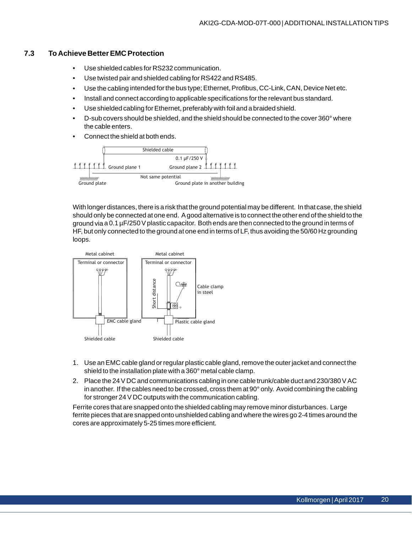### <span id="page-19-0"></span>**7.3 To Achieve Better EMC Protection**

- Use shielded cables for RS232 communication.
- Use twisted pair and shielded cabling for RS422 and RS485.
- Use the cabling intended for the bus type; Ethernet, Profibus, CC-Link, CAN, Device Net etc.
- Install and connect according to applicable specifications for the relevant bus standard.
- Use shielded cabling for Ethernet, preferably with foil and a braided shield.
- D-sub covers should be shielded, and the shield should be connected to the cover 360° where the cable enters.
- Connect the shield at both ends.



With longer distances, there is a risk that the ground potential may be different. In that case, the shield should only be connected at one end. A good alternative is to connect the other end of the shield to the ground via a 0.1 µF/250 V plastic capacitor. Both ends are then connected to the ground in terms of HF, but only connected to the ground at one end in terms of LF, thus avoiding the 50/60 Hz grounding loops.



- 1. Use an EMC cable gland or regular plastic cable gland, remove the outer jacket and connect the shield to the installation plate with a 360° metal cable clamp.
- 2. Place the 24 V DC and communications cabling in one cable trunk/cable duct and 230/380 V AC in another. If the cables need to be crossed, cross them at 90° only. Avoid combining the cabling for stronger 24 V DC outputs with the communication cabling.

Ferrite cores that are snapped onto the shielded cabling may remove minor disturbances. Large ferrite pieces that are snapped onto unshielded cabling and where the wires go 2-4 times around the cores are approximately 5-25 times more efficient.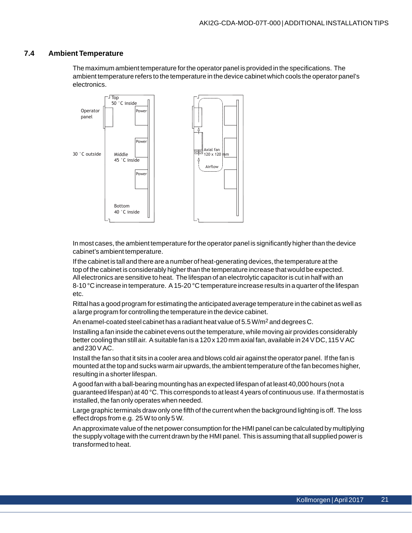### <span id="page-20-0"></span>**7.4 Ambient Temperature**

The maximum ambient temperature for the operator panel is provided in the specifications. The ambient temperature refers to the temperature in the device cabinet which cools the operator panel's electronics.



In most cases, the ambient temperature for the operator panel is significantly higher than the device cabinet's ambient temperature.

If the cabinet is tall and there are a number of heat-generating devices, the temperature at the top of the cabinet is considerably higher than the temperature increase that would be expected. All electronics are sensitive to heat. The lifespan of an electrolytic capacitor is cut in half with an 8-10 °C increase in temperature. A 15-20 °C temperature increase results in a quarter of the lifespan etc.

Rittal has a good program for estimating the anticipated average temperature in the cabinet as well as a large program for controlling the temperature in the device cabinet.

An enamel-coated steel cabinet has a radiant heat value of 5.5 W/m<sup>2</sup> and degrees C.

Installing a fan inside the cabinet evens out the temperature, while moving air provides considerably better cooling than still air. A suitable fan is a 120 x 120 mm axial fan, available in 24 V DC, 115 V AC and 230 V AC.

Install the fan so that it sits in a cooler area and blows cold air against the operator panel. If the fan is mounted at the top and sucks warm air upwards, the ambient temperature of the fan becomes higher, resulting in a shorter lifespan.

A good fan with a ball-bearing mounting has an expected lifespan of at least 40,000 hours (not a guaranteed lifespan) at 40 °C. This corresponds to at least 4 years of continuous use. If a thermostat is installed, the fan only operates when needed.

Large graphic terminals draw only one fifth of the current when the background lighting is off. The loss effect drops from e.g. 25 W to only 5 W.

An approximate value of the net power consumption for the HMI panel can be calculated by multiplying the supply voltage with the current drawn by the HMI panel. This is assuming that all supplied power is transformed to heat.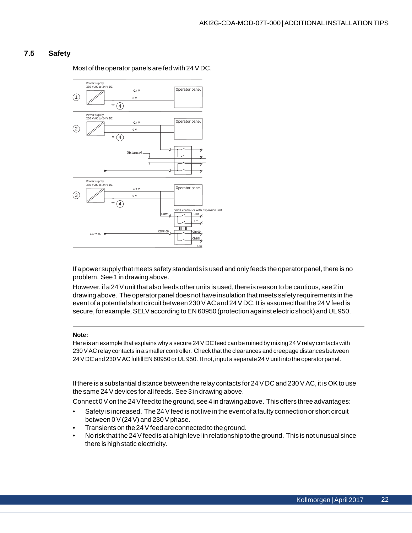### <span id="page-21-0"></span>**7.5 Safety**

Power supply 230 V AC to 24 V DC Operator panel  $+24$  $\bigcap$ 0 V  $(4)$ Power supply 230 V AC to 24 V DC Operator panel +24 V  $\circled{2}$ 0 V  $\binom{4}{}$ Distance? Power supply 230 V AC to 24 V DC Operator panel  $+24$  $\circled{3}$ 0 V  $\left(\overline{4}\right)$ oller with expansion unit  $\frac{\text{ChO}}{\text{ChO}}$ COM1  $rac{\text{Ch1}}{6}$ **TITULIT**  $c<sub>h100</sub>$ **COM100** 230 V AC Ch101

Most of the operator panels are fed with 24 V DC.

If a power supply that meets safety standards is used and only feeds the operator panel, there is no problem. See 1 in drawing above.

However, if a 24 V unit that also feeds other units is used, there is reason to be cautious, see 2 in drawing above. The operator panel does not have insulation that meets safety requirements in the event of a potential short circuit between 230 V AC and 24 V DC. It is assumed that the 24 V feed is secure, for example, SELV according to EN 60950 (protection against electric shock) and UL 950.

#### **Note:**

Here is an example that explains why a secure 24 V DC feed can be ruined by mixing 24 V relay contacts with 230 V AC relay contacts in a smaller controller. Check that the clearances and creepage distances between 24 V DC and 230 V AC fulfill EN 60950 or UL 950. If not, input a separate 24 V unit into the operator panel.

If there is a substantial distance between the relay contacts for 24 V DC and 230 V AC, it is OK to use the same 24 V devices for all feeds. See 3 in drawing above.

Connect 0 V on the 24 V feed to the ground, see 4 in drawing above. This offers three advantages:

- Safety is increased. The 24 V feed is not live in the event of a faulty connection or short circuit between 0 V (24 V) and 230 V phase.
- Transients on the 24 V feed are connected to the ground.
- No risk that the 24 V feed is at a high level in relationship to the ground. This is not unusual since there is high static electricity.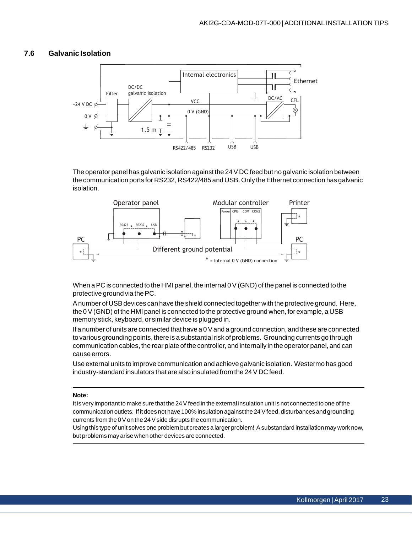### <span id="page-22-0"></span>**7.6 Galvanic Isolation**



The operator panel has galvanic isolation against the 24 V DC feed but no galvanic isolation between the communication ports for RS232, RS422/485 and USB. Only the Ethernet connection has galvanic isolation.



When a PC is connected to the HMI panel, the internal 0 V (GND) of the panel is connected to the protective ground via the PC.

A number of USB devices can have the shield connected together with the protective ground. Here, the 0 V (GND) of the HMI panel is connected to the protective ground when, for example, a USB memory stick, keyboard, or similar device is plugged in.

If a number of units are connected that have a 0 V and a ground connection, and these are connected to various grounding points, there is a substantial risk of problems. Grounding currents go through communication cables, the rear plate of the controller, and internally in the operator panel, and can cause errors.

Use external units to improve communication and achieve galvanic isolation. Westermo has good industry-standard insulators that are also insulated from the 24 V DC feed.

#### **Note:**

It is very important to make sure that the 24 V feed in the external insulation unit is not connected to one of the communication outlets. If it does not have 100% insulation against the 24 V feed, disturbances and grounding currents from the 0 V on the 24 V side disrupts the communication.

Using this type of unit solves one problem but creates a larger problem! A substandard installation may work now, but problems may arise when other devices are connected.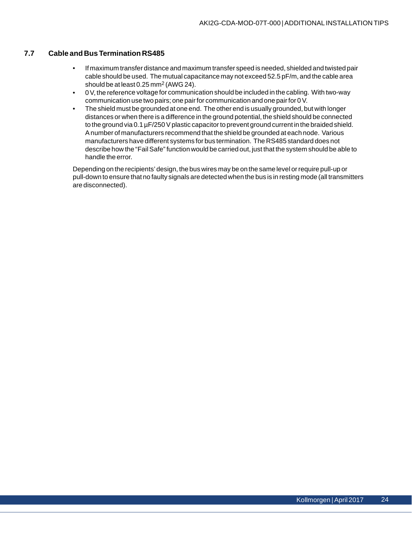## <span id="page-23-0"></span>**7.7 Cable and Bus Termination RS485**

- If maximum transfer distance and maximum transfer speed is needed, shielded and twisted pair cable should be used. The mutual capacitance may not exceed 52.5 pF/m, and the cable area should be at least 0.25 mm2 (AWG 24).
- 0 V, the reference voltage for communication should be included in the cabling. With two-way communication use two pairs; one pair for communication and one pair for 0 V.
- The shield must be grounded at one end. The other end is usually grounded, but with longer distances or when there is a difference in the ground potential, the shield should be connected to the ground via 0.1 µF/250 V plastic capacitor to prevent ground current in the braided shield. A number of manufacturers recommend that the shield be grounded at each node. Various manufacturers have different systems for bus termination. The RS485 standard does not describe how the "Fail Safe" function would be carried out, just that the system should be able to handle the error.

Depending on the recipients' design, the bus wires may be on the same level or require pull-up or pull-down to ensure that no faulty signals are detected when the bus is in resting mode (all transmitters are disconnected).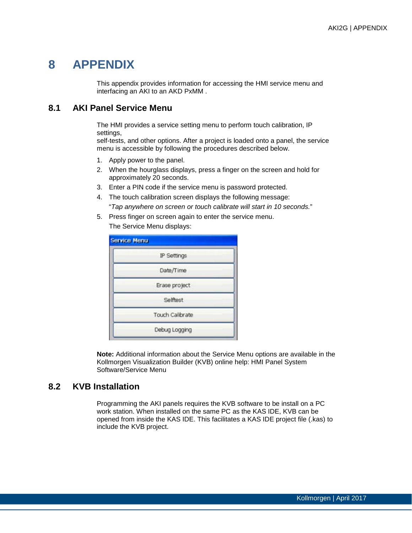# **8 APPENDIX**

This appendix provides information for accessing the HMI service menu and interfacing an AKI to an AKD PxMM .

# **8.1 AKI Panel Service Menu**

The HMI provides a service setting menu to perform touch calibration, IP settings,

self-tests, and other options. After a project is loaded onto a panel, the service menu is accessible by following the procedures described below.

- 1. Apply power to the panel.
- 2. When the hourglass displays, press a finger on the screen and hold for approximately 20 seconds.
- 3. Enter a PIN code if the service menu is password protected.
- 4. The touch calibration screen displays the following message: "*Tap anywhere on screen or touch calibrate will start in 10 seconds.*"
- 5. Press finger on screen again to enter the service menu. The Service Menu displays:

| IP Settings     |  |
|-----------------|--|
| Date/Time       |  |
| Erase project   |  |
| Selftest        |  |
| Touch Calibrate |  |

**Note:** Additional information about the Service Menu options are available in the Kollmorgen Visualization Builder (KVB) online help: HMI Panel System Software/Service Menu

# **8.2 KVB Installation**

Programming the AKI panels requires the KVB software to be install on a PC work station. When installed on the same PC as the KAS IDE, KVB can be opened from inside the KAS IDE. This facilitates a KAS IDE project file (.kas) to include the KVB project.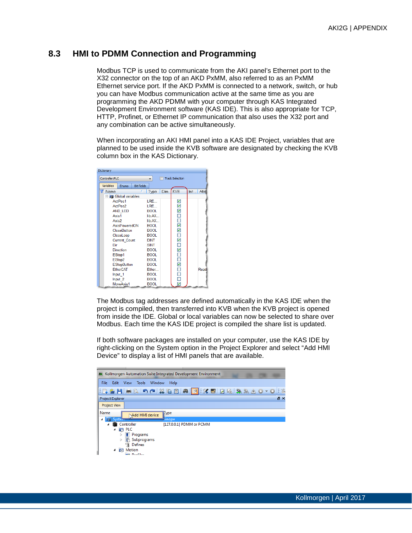# **8.3 HMI to PDMM Connection and Programming**

Modbus TCP is used to communicate from the AKI panel's Ethernet port to the X32 connector on the top of an AKD PxMM, also referred to as an PxMM Ethernet service port. If the AKD PxMM is connected to a network, switch, or hub you can have Modbus communication active at the same time as you are programming the AKD PDMM with your computer through KAS Integrated Development Environment software (KAS IDE). This is also appropriate for TCP, HTTP, Profinet, or Ethernet IP communication that also uses the X32 port and any combination can be active simultaneously.

When incorporating an AKI HMI panel into a KAS IDE Project, variables that are planned to be used inside the KVB software are designated by checking the KVB column box in the KAS Dictionary.

| Dictionary                |                   |              |      |                        |      |        |
|---------------------------|-------------------|--------------|------|------------------------|------|--------|
| Controller:PLC            |                   |              |      | <b>Track Selection</b> |      |        |
| Variables<br><b>Enums</b> | <b>Bit Fields</b> |              |      |                        |      |        |
| Name                      | 7                 | Type         | Dim. | KVB                    | Init | Attril |
| <b>R</b> Global variables |                   |              |      |                        |      |        |
| ActPos1                   |                   | I RF         |      | ⊻                      |      |        |
| ActPos2                   |                   | I RF         |      | ☑                      |      |        |
| AND LED                   |                   | <b>BOOL</b>  |      | ☑                      |      |        |
| Axis1                     |                   | lib:AX       |      | $\Box$                 |      |        |
| Axis2                     |                   | lib AX       |      |                        |      |        |
| AxisPoweredON             |                   | <b>BOOL</b>  |      | ☑                      |      |        |
| <b>CloseButton</b>        |                   | <b>BOOL</b>  |      | ☑                      |      |        |
| CloseLoop                 |                   | <b>BOOL</b>  |      | □                      |      |        |
| <b>Current Count</b>      |                   | <b>DINT</b>  |      | ☑                      |      |        |
| Dir                       |                   | <b>SINT</b>  |      | $\Box$                 |      |        |
| <b>Direction</b>          |                   | <b>BOOL</b>  |      | ⊻                      |      |        |
| EStop1                    |                   | <b>BOOL</b>  |      |                        |      |        |
| EStop2                    |                   | <b>BOOL</b>  |      | $\Box$                 |      |        |
| <b>EStopButton</b>        |                   | <b>BOOL</b>  |      |                        |      |        |
| <b>FtherCAT</b>           |                   | <b>Ether</b> |      | □                      |      | Read   |
| Input 1                   |                   | <b>BOOL</b>  |      |                        |      |        |
| Input 2                   |                   | <b>BOOL</b>  |      |                        |      |        |
| MoveAxis1                 |                   | <b>BOOL</b>  |      |                        |      |        |

The Modbus tag addresses are defined automatically in the KAS IDE when the project is compiled, then transferred into KVB when the KVB project is opened from inside the IDE. Global or local variables can now be selected to share over Modbus. Each time the KAS IDE project is compiled the share list is updated.

If both software packages are installed on your computer, use the KAS IDE by right-clicking on the System option in the Project Explorer and select "Add HMI Device" to display a list of HMI panels that are available.

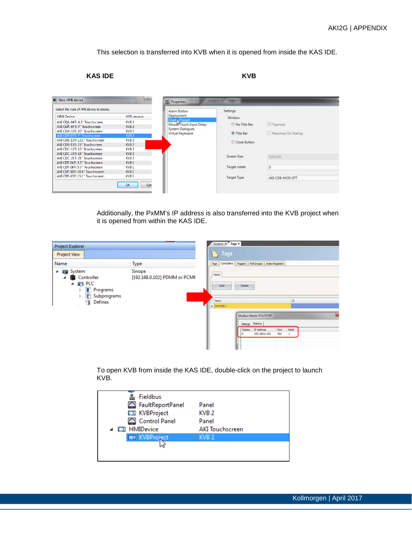This selection is transferred into KVB when it is opened from inside the KAS IDE.

## **KAS IDE KVB**

| Select the type of HMI device to create.                                                                                                                                           |                                                                                                                        | Alarm Button                                                                                    | <b>Settings</b>                                  |                                  |
|------------------------------------------------------------------------------------------------------------------------------------------------------------------------------------|------------------------------------------------------------------------------------------------------------------------|-------------------------------------------------------------------------------------------------|--------------------------------------------------|----------------------------------|
| <b>HMI</b> Device<br>AKI CDA-04T: 4.3" Touchscreen<br>AKI COA-07T: 7" Touchscreen<br>AKI CDA-10T: 10" Touchscreen<br>AKI CDB-07T: 7" Touchscreen<br>AKI CDB-12T: 12.1" Touchscreen | <b>KVB</b> version<br>KVB <sub>2</sub><br>KVB <sub>2</sub><br>KVB <sub>2</sub><br>KVB <sub>2</sub><br>KVB <sub>2</sub> | Deployment<br>Display/Target<br>Mouse/Touch Input Delay<br>System Dialogues<br>Virtual Keyboard | Window<br>No Title Bar<br><sup>O</sup> Title Bar | √ Topmost<br>Maximize On Startup |
| AKI CDB-15T: 15" Touchscreen<br>AKI CDC-12T: 12" Touchscreen<br>AKI CDC-15T: 15" Touchscreen<br>AKI CDC-21T: 21" Touchscreen<br>AKI CDT-04T: 3.5" Touchscreen                      | $KVB$ 2<br>KVB <sub>2</sub><br>KVB <sub>2</sub><br>KVB <sub>2</sub><br>KVB <sub>1</sub>                                |                                                                                                 | Close Button<br>Screen Size                      | 800x480                          |
| AKI CDT-06T: 5.7" Touchscreen<br>AKI CDT-10T: 10.4" Touchscreen<br>AKI CDT-15T: 15.1" Touchscreen                                                                                  | KVB <sub>1</sub><br>KVB <sub>1</sub><br>KVB 1                                                                          |                                                                                                 | Target rotate<br>Target Type                     | o<br>AKI-CDB-MOD-07T             |

Additionally, the PxMM's IP address is also transferred into the KVB project when it is opened from within the KAS IDE.

| Project Explorer                                                                                                                                   |                                        | Screen1 x Tags x                                         |                                                    |  |
|----------------------------------------------------------------------------------------------------------------------------------------------------|----------------------------------------|----------------------------------------------------------|----------------------------------------------------|--|
| <b>Project View</b>                                                                                                                                |                                        | <b>E</b> Tags                                            |                                                    |  |
| Name                                                                                                                                               | <b>Type</b>                            | Controllers Triggers Poll Groups Index Registers<br>Tags |                                                    |  |
| <b>System</b><br>◢<br>Controller<br>⊿<br>$\blacksquare$ PLC<br>◢<br><b>Programs</b><br>Þ<br><b>IS</b> Subprograms<br>$\triangleright$<br>§ Defines | Sinope<br>[192.168.0.102] PDMM or PCMM | Home<br>Add<br>Delete<br>Name<br>$\sum$ Controller 1     | m                                                  |  |
|                                                                                                                                                    |                                        | Modbus Master RTU/TCPIP<br>Settings Stations<br>Station  | Node<br>Port<br>IP Address<br>502<br>192.168.0.102 |  |

To open KVB from inside the KAS IDE, double-click on the project to launch KVB.

| Fieldbus             |                        |
|----------------------|------------------------|
| FaultReportPanel     | Panel                  |
| <b>ED</b> KVBProject | KVB <sub>2</sub>       |
| Control Panel        | Panel                  |
| ▲ □ HMIDevice        | <b>AKI Touchscreen</b> |
| KVBProject           | KVB <sub>2</sub>       |
|                      |                        |
|                      |                        |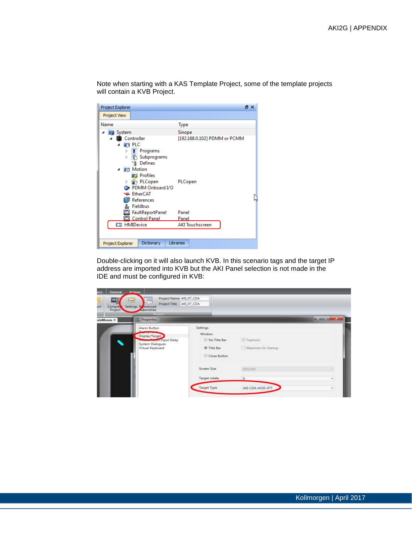Note when starting with a KAS Template Project, some of the template projects will contain a KVB Project. Project Explorer  $B \times$ 

| Project View     |                                                                                                                 |                              |
|------------------|-----------------------------------------------------------------------------------------------------------------|------------------------------|
| Name             |                                                                                                                 | <b>Type</b>                  |
| System           |                                                                                                                 | Sinope                       |
| Ь<br>Þ<br>◢      | Controller<br><b>PLC</b><br>Programs<br><b>R</b> Subprograms<br>8 Defines<br><b>Notion</b><br><b>D</b> Profiles | [192.168.0.102] PDMM or PCMM |
| Þ                | <b>PLCopen</b><br><b>Co</b> PDMM Onboard I/O<br><b>EtherCAT</b><br>References<br>몼 Fieldbus                     | PLCopen                      |
|                  | FaultReportPanel                                                                                                | Panel                        |
|                  | Control Panel                                                                                                   | Panel                        |
|                  | <b>ED</b> HMIDevice                                                                                             | <b>AKI</b> Touchscreen       |
| Project Explorer | Dictionary                                                                                                      | <b>Libraries</b>             |

Double-clicking on it will also launch KVB. In this scenario tags and the target IP address are imported into KVB but the AKI Panel selection is not made in the IDE and must be configured in KVB:

| General<br>nace<br>$\blacksquare$<br>Compre<br>ort<br>Project | <b>Actions</b><br>Project Name AXI_07_CDA<br>$\approx$<br>Project Title AKI 07 CDA<br>Settings Referenced<br><b>Division</b> |                                                                              |                                  |                |
|---------------------------------------------------------------|------------------------------------------------------------------------------------------------------------------------------|------------------------------------------------------------------------------|----------------------------------|----------------|
| adsMoves ×                                                    | <b>E.</b> Properties                                                                                                         |                                                                              |                                  | $m = 10 - 10$  |
|                                                               | Alarm Button<br>Display/Target<br><b>Moore Food Input Delay</b><br>System Dialogues<br>Virtual Keyboard                      | Settings<br>Window<br>No Title Bar<br><sup>O</sup> Title Bar<br>Close Button | V Topmost<br>Maximize On Startup |                |
|                                                               |                                                                                                                              | Screen Size                                                                  | 800x480                          |                |
|                                                               |                                                                                                                              | Target rotate                                                                | io.                              | $\blacksquare$ |
|                                                               |                                                                                                                              | <b>Target Type</b>                                                           | AKI-CDA-MOD-07T                  | ٠              |